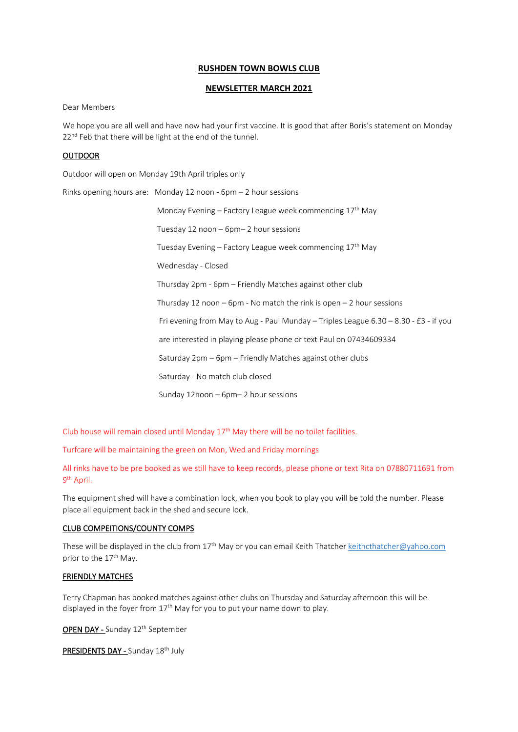#### **RUSHDEN TOWN BOWLS CLUB**

## **NEWSLETTER MARCH 2021**

#### Dear Members

We hope you are all well and have now had your first vaccine. It is good that after Boris's statement on Monday 22<sup>nd</sup> Feb that there will be light at the end of the tunnel.

#### OUTDOOR

Outdoor will open on Monday 19th April triples only

Rinks opening hours are: Monday 12 noon - 6pm – 2 hour sessions

Monday Evening – Factory League week commencing 17<sup>th</sup> May Tuesday 12 noon – 6pm– 2 hour sessions Tuesday Evening – Factory League week commencing 17<sup>th</sup> May Wednesday - Closed Thursday 2pm - 6pm – Friendly Matches against other club Thursday 12 noon – 6pm - No match the rink is open – 2 hour sessions Fri evening from May to Aug - Paul Munday – Triples League  $6.30 - 8.30 - 2.3$  - if you are interested in playing please phone or text Paul on 07434609334 Saturday 2pm – 6pm – Friendly Matches against other clubs Saturday - No match club closed Sunday 12noon – 6pm– 2 hour sessions

Club house will remain closed until Monday  $17<sup>th</sup>$  May there will be no toilet facilities.

Turfcare will be maintaining the green on Mon, Wed and Friday mornings

All rinks have to be pre booked as we still have to keep records, please phone or text Rita on 07880711691 from 9<sup>th</sup> April.

The equipment shed will have a combination lock, when you book to play you will be told the number. Please place all equipment back in the shed and secure lock.

#### CLUB COMPEITIONS/COUNTY COMPS

These will be displayed in the club from  $17<sup>th</sup>$  May or you can email Keith Thatche[r keithcthatcher@yahoo.com](mailto:keithcthatcher@yahoo.com) prior to the 17<sup>th</sup> May.

#### FRIENDLY MATCHES

Terry Chapman has booked matches against other clubs on Thursday and Saturday afternoon this will be displayed in the foyer from 17<sup>th</sup> May for you to put your name down to play.

OPEN DAY - Sunday 12<sup>th</sup> September

PRESIDENTS DAY - Sunday 18<sup>th</sup> July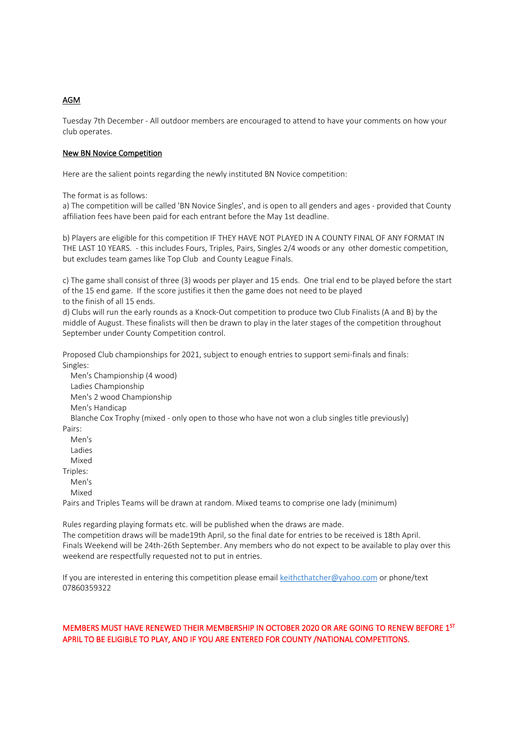#### AGM

Tuesday 7th December - All outdoor members are encouraged to attend to have your comments on how your club operates.

#### New BN Novice Competition

Here are the salient points regarding the newly instituted BN Novice competition:

The format is as follows:

a) The competition will be called 'BN Novice Singles', and is open to all genders and ages - provided that County affiliation fees have been paid for each entrant before the May 1st deadline.

b) Players are eligible for this competition IF THEY HAVE NOT PLAYED IN A COUNTY FINAL OF ANY FORMAT IN THE LAST 10 YEARS. - this includes Fours, Triples, Pairs, Singles 2/4 woods or any other domestic competition, but excludes team games like Top Club and County League Finals.

c) The game shall consist of three (3) woods per player and 15 ends. One trial end to be played before the start of the 15 end game. If the score justifies it then the game does not need to be played to the finish of all 15 ends.

d) Clubs will run the early rounds as a Knock-Out competition to produce two Club Finalists (A and B) by the middle of August. These finalists will then be drawn to play in the later stages of the competition throughout September under County Competition control.

Proposed Club championships for 2021, subject to enough entries to support semi-finals and finals: Singles:

Men's Championship (4 wood) Ladies Championship Men's 2 wood Championship Men's Handicap Blanche Cox Trophy (mixed - only open to those who have not won a club singles title previously) Pairs:

Men's Ladies Mixed Triples: Men's

Mixed

Pairs and Triples Teams will be drawn at random. Mixed teams to comprise one lady (minimum)

Rules regarding playing formats etc. will be published when the draws are made. The competition draws will be made19th April, so the final date for entries to be received is 18th April. Finals Weekend will be 24th-26th September. Any members who do not expect to be available to play over this weekend are respectfully requested not to put in entries.

If you are interested in entering this competition please email [keithcthatcher@yahoo.com](mailto:keithcthatcher@yahoo.com) or phone/text 07860359322

## MEMBERS MUST HAVE RENEWED THEIR MEMBERSHIP IN OCTOBER 2020 OR ARE GOING TO RENEW BEFORE 1ST APRIL TO BE ELIGIBLE TO PLAY, AND IF YOU ARE ENTERED FOR COUNTY /NATIONAL COMPETITONS.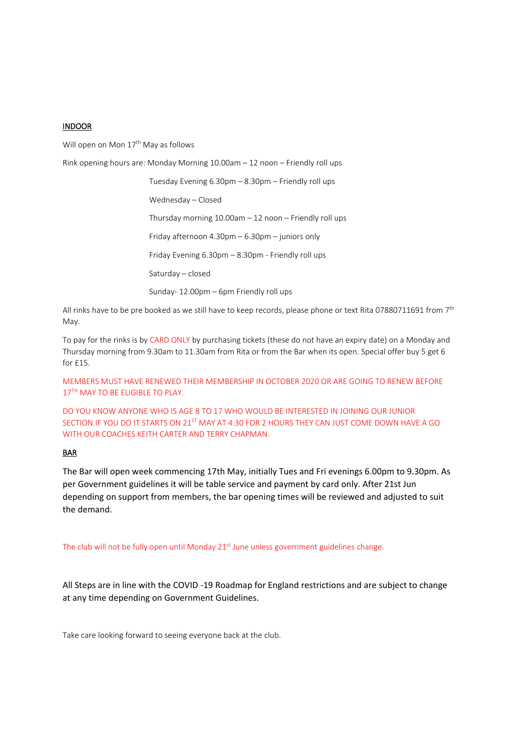## INDOOR

Will open on Mon 17<sup>th</sup> May as follows

Rink opening hours are: Monday Morning 10.00am – 12 noon – Friendly roll ups

 Tuesday Evening 6.30pm – 8.30pm – Friendly roll ups Wednesday – Closed Thursday morning 10.00am – 12 noon – Friendly roll ups Friday afternoon 4.30pm – 6.30pm – juniors only Friday Evening 6.30pm – 8.30pm - Friendly roll ups Saturday – closed Sunday- 12.00pm – 6pm Friendly roll ups

All rinks have to be pre booked as we still have to keep records, please phone or text Rita 07880711691 from  $7<sup>th</sup>$ May.

To pay for the rinks is by CARD ONLY by purchasing tickets (these do not have an expiry date) on a Monday and Thursday morning from 9.30am to 11.30am from Rita or from the Bar when its open. Special offer buy 5 get 6 for £15.

MEMBERS MUST HAVE RENEWED THEIR MEMBERSHIP IN OCTOBER 2020 OR ARE GOING TO RENEW BEFORE 17TH MAY TO BE ELIGIBLE TO PLAY.

DO YOU KNOW ANYONE WHO IS AGE 8 TO 17 WHO WOULD BE INTERESTED IN JOINING OUR JUNIOR SECTION.IF YOU DO IT STARTS ON 21ST MAY AT 4.30 FOR 2 HOURS THEY CAN JUST COME DOWN HAVE A GO WITH OUR COACHES KEITH CARTER AND TERRY CHAPMAN.

# BAR

The Bar will open week commencing 17th May, initially Tues and Fri evenings 6.00pm to 9.30pm. As per Government guidelines it will be table service and payment by card only. After 21st Jun depending on support from members, the bar opening times will be reviewed and adjusted to suit the demand.

The club will not be fully open until Monday 21<sup>st</sup> June unless government guidelines change.

All Steps are in line with the COVID -19 Roadmap for England restrictions and are subject to change at any time depending on Government Guidelines.

Take care looking forward to seeing everyone back at the club.